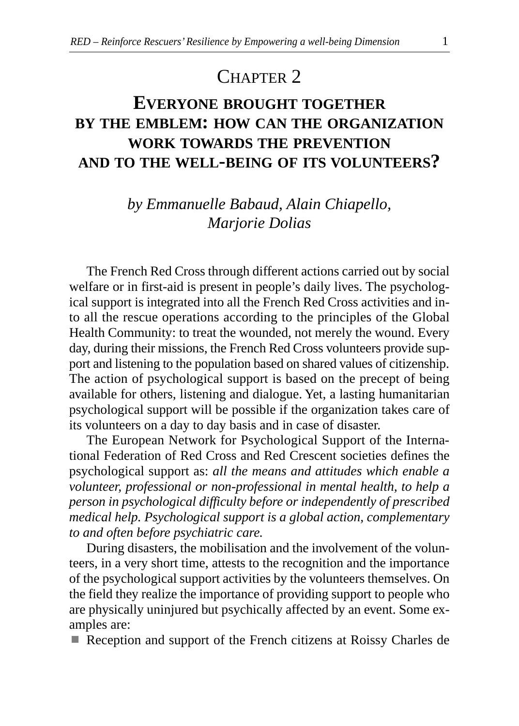# CHAPTER<sub>2</sub>

# **EVERYONE BROUGHT TOGETHER BY THE EMBLEM: HOW CAN THE ORGANIZATION WORK TOWARDS THE PREVENTION AND TO THE WELL-BEING OF ITS VOLUNTEERS?**

*by Emmanuelle Babaud, Alain Chiapello, Marjorie Dolias*

The French Red Cross through different actions carried out by social welfare or in first-aid is present in people's daily lives. The psychological support is integrated into all the French Red Cross activities and into all the rescue operations according to the principles of the Global Health Community: to treat the wounded, not merely the wound. Every day, during their missions, the French Red Cross volunteers provide support and listening to the population based on shared values of citizenship. The action of psychological support is based on the precept of being available for others, listening and dialogue. Yet, a lasting humanitarian psychological support will be possible if the organization takes care of its volunteers on a day to day basis and in case of disaster.

The European Network for Psychological Support of the International Federation of Red Cross and Red Crescent societies defines the psychological support as: *all the means and attitudes which enable a volunteer, professional or non-professional in mental health, to help a person in psychological difficulty before or independently of prescribed medical help. Psychological support is a global action, complementary to and often before psychiatric care.* 

During disasters, the mobilisation and the involvement of the volunteers, in a very short time, attests to the recognition and the importance of the psychological support activities by the volunteers themselves. On the field they realize the importance of providing support to people who are physically uninjured but psychically affected by an event. Some examples are:

■ Reception and support of the French citizens at Roissy Charles de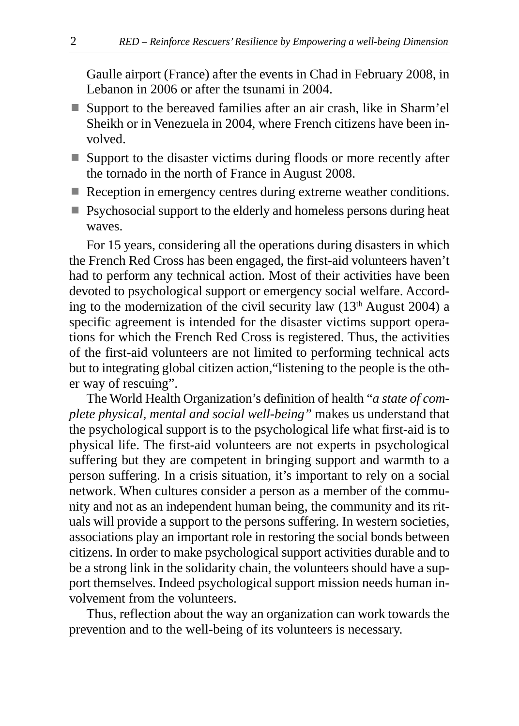Gaulle airport (France) after the events in Chad in February 2008, in Lebanon in 2006 or after the tsunami in 2004.

- Support to the bereaved families after an air crash, like in Sharm'el Sheikh or in Venezuela in 2004, where French citizens have been involved.
- Support to the disaster victims during floods or more recently after the tornado in the north of France in August 2008.
- Reception in emergency centres during extreme weather conditions.
- Psychosocial support to the elderly and homeless persons during heat waves.

For 15 years, considering all the operations during disasters in which the French Red Cross has been engaged, the first-aid volunteers haven't had to perform any technical action. Most of their activities have been devoted to psychological support or emergency social welfare. According to the modernization of the civil security law (13th August 2004) a specific agreement is intended for the disaster victims support operations for which the French Red Cross is registered. Thus, the activities of the first-aid volunteers are not limited to performing technical acts but to integrating global citizen action,"listening to the people is the other way of rescuing".

The World Health Organization's definition of health "*a state of complete physical, mental and social well-being"* makes us understand that the psychological support is to the psychological life what first-aid is to physical life. The first-aid volunteers are not experts in psychological suffering but they are competent in bringing support and warmth to a person suffering. In a crisis situation, it's important to rely on a social network. When cultures consider a person as a member of the community and not as an independent human being, the community and its rituals will provide a support to the persons suffering. In western societies, associations play an important role in restoring the social bonds between citizens. In order to make psychological support activities durable and to be a strong link in the solidarity chain, the volunteers should have a support themselves. Indeed psychological support mission needs human involvement from the volunteers.

Thus, reflection about the way an organization can work towards the prevention and to the well-being of its volunteers is necessary.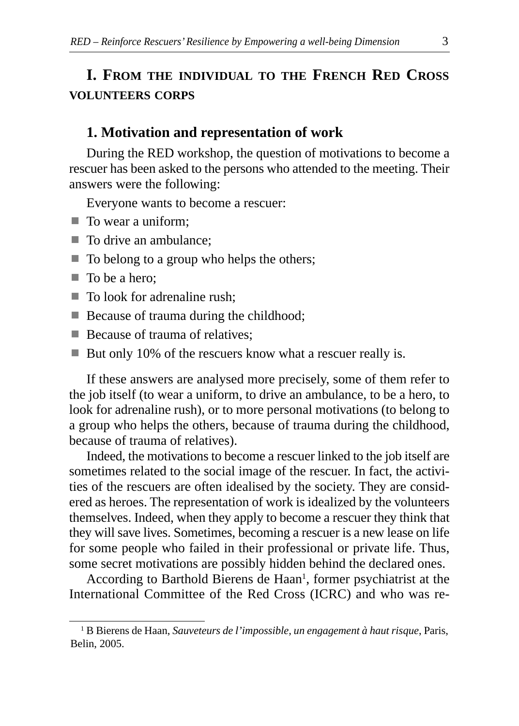# **I. FROM THE INDIVIDUAL TO THE FRENCH RED CROSS VOLUNTEERS CORPS**

### **1. Motivation and representation of work**

During the RED workshop, the question of motivations to become a rescuer has been asked to the persons who attended to the meeting. Their answers were the following:

Everyone wants to become a rescuer:

- To wear a uniform;
- To drive an ambulance;
- $\blacksquare$  To belong to a group who helps the others;
- To be a hero;
- $\blacksquare$  To look for adrenaline rush;
- Because of trauma during the childhood;
- Because of trauma of relatives;
- But only 10% of the rescuers know what a rescuer really is.

If these answers are analysed more precisely, some of them refer to the job itself (to wear a uniform, to drive an ambulance, to be a hero, to look for adrenaline rush), or to more personal motivations (to belong to a group who helps the others, because of trauma during the childhood, because of trauma of relatives).

Indeed, the motivations to become a rescuer linked to the job itself are sometimes related to the social image of the rescuer. In fact, the activities of the rescuers are often idealised by the society. They are considered as heroes. The representation of work is idealized by the volunteers themselves. Indeed, when they apply to become a rescuer they think that they will save lives. Sometimes, becoming a rescuer is a new lease on life for some people who failed in their professional or private life. Thus, some secret motivations are possibly hidden behind the declared ones.

According to Barthold Bierens de Haan<sup>1</sup>, former psychiatrist at the International Committee of the Red Cross (ICRC) and who was re-

<sup>1</sup> B Bierens de Haan, *Sauveteurs de l'impossible, un engagement à haut risque*, Paris, Belin, 2005.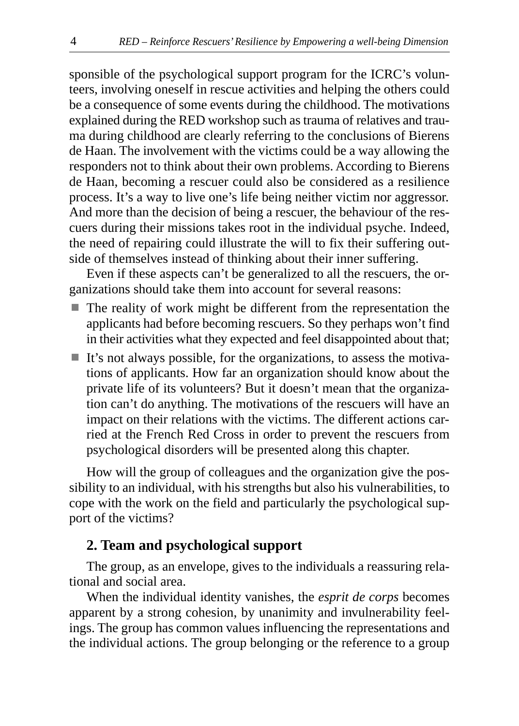sponsible of the psychological support program for the ICRC's volunteers, involving oneself in rescue activities and helping the others could be a consequence of some events during the childhood. The motivations explained during the RED workshop such as trauma of relatives and trauma during childhood are clearly referring to the conclusions of Bierens de Haan. The involvement with the victims could be a way allowing the responders not to think about their own problems. According to Bierens de Haan, becoming a rescuer could also be considered as a resilience process. It's a way to live one's life being neither victim nor aggressor. And more than the decision of being a rescuer, the behaviour of the rescuers during their missions takes root in the individual psyche. Indeed, the need of repairing could illustrate the will to fix their suffering outside of themselves instead of thinking about their inner suffering.

Even if these aspects can't be generalized to all the rescuers, the organizations should take them into account for several reasons:

- $\blacksquare$  The reality of work might be different from the representation the applicants had before becoming rescuers. So they perhaps won't find in their activities what they expected and feel disappointed about that;
- It's not always possible, for the organizations, to assess the motivations of applicants. How far an organization should know about the private life of its volunteers? But it doesn't mean that the organization can't do anything. The motivations of the rescuers will have an impact on their relations with the victims. The different actions carried at the French Red Cross in order to prevent the rescuers from psychological disorders will be presented along this chapter.

How will the group of colleagues and the organization give the possibility to an individual, with his strengths but also his vulnerabilities, to cope with the work on the field and particularly the psychological support of the victims?

#### **2. Team and psychological support**

The group, as an envelope, gives to the individuals a reassuring relational and social area.

When the individual identity vanishes, the *esprit de corps* becomes apparent by a strong cohesion, by unanimity and invulnerability feelings. The group has common values influencing the representations and the individual actions. The group belonging or the reference to a group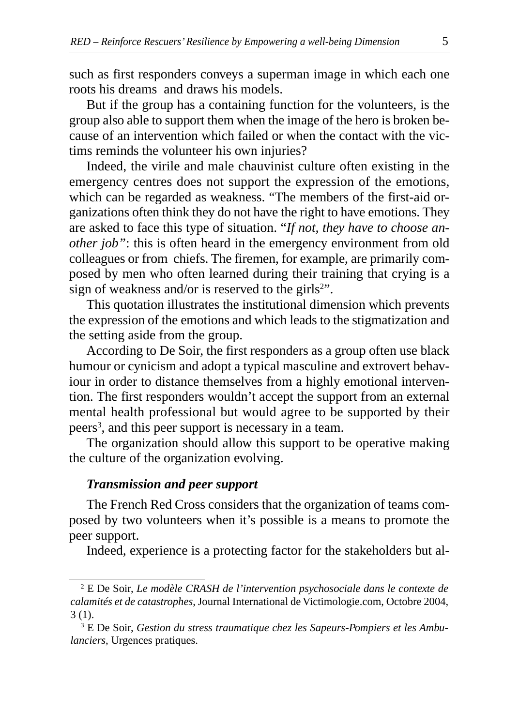such as first responders conveys a superman image in which each one roots his dreams and draws his models.

But if the group has a containing function for the volunteers, is the group also able to support them when the image of the hero is broken because of an intervention which failed or when the contact with the victims reminds the volunteer his own injuries?

Indeed, the virile and male chauvinist culture often existing in the emergency centres does not support the expression of the emotions, which can be regarded as weakness. "The members of the first-aid organizations often think they do not have the right to have emotions. They are asked to face this type of situation. "*If not, they have to choose another job"*: this is often heard in the emergency environment from old colleagues or from chiefs. The firemen, for example, are primarily composed by men who often learned during their training that crying is a sign of weakness and/or is reserved to the girls<sup>2</sup>".

This quotation illustrates the institutional dimension which prevents the expression of the emotions and which leads to the stigmatization and the setting aside from the group.

According to De Soir, the first responders as a group often use black humour or cynicism and adopt a typical masculine and extrovert behaviour in order to distance themselves from a highly emotional intervention. The first responders wouldn't accept the support from an external mental health professional but would agree to be supported by their peers<sup>3</sup>, and this peer support is necessary in a team.

The organization should allow this support to be operative making the culture of the organization evolving.

#### *Transmission and peer support*

The French Red Cross considers that the organization of teams composed by two volunteers when it's possible is a means to promote the peer support.

Indeed, experience is a protecting factor for the stakeholders but al-

<sup>2</sup> E De Soir, *Le modèle CRASH de l'intervention psychosociale dans le contexte de calamités et de catastrophes*, Journal International de Victimologie.com, Octobre 2004, 3 (1).

<sup>3</sup> E De Soir, *Gestion du stress traumatique chez les Sapeurs-Pompiers et les Ambulanciers*, Urgences pratiques.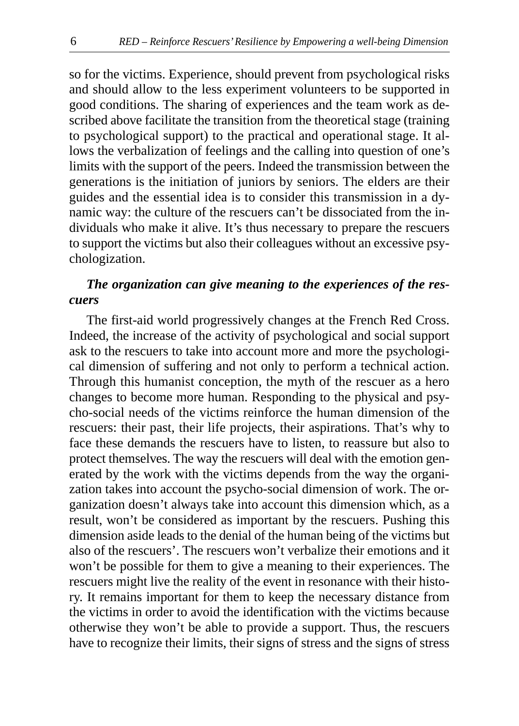so for the victims. Experience, should prevent from psychological risks and should allow to the less experiment volunteers to be supported in good conditions. The sharing of experiences and the team work as described above facilitate the transition from the theoretical stage (training to psychological support) to the practical and operational stage. It allows the verbalization of feelings and the calling into question of one's limits with the support of the peers. Indeed the transmission between the generations is the initiation of juniors by seniors. The elders are their guides and the essential idea is to consider this transmission in a dynamic way: the culture of the rescuers can't be dissociated from the individuals who make it alive. It's thus necessary to prepare the rescuers to support the victims but also their colleagues without an excessive psychologization.

## *The organization can give meaning to the experiences of the rescuers*

The first-aid world progressively changes at the French Red Cross. Indeed, the increase of the activity of psychological and social support ask to the rescuers to take into account more and more the psychological dimension of suffering and not only to perform a technical action. Through this humanist conception, the myth of the rescuer as a hero changes to become more human. Responding to the physical and psycho-social needs of the victims reinforce the human dimension of the rescuers: their past, their life projects, their aspirations. That's why to face these demands the rescuers have to listen, to reassure but also to protect themselves. The way the rescuers will deal with the emotion generated by the work with the victims depends from the way the organization takes into account the psycho-social dimension of work. The organization doesn't always take into account this dimension which, as a result, won't be considered as important by the rescuers. Pushing this dimension aside leads to the denial of the human being of the victims but also of the rescuers'. The rescuers won't verbalize their emotions and it won't be possible for them to give a meaning to their experiences. The rescuers might live the reality of the event in resonance with their history. It remains important for them to keep the necessary distance from the victims in order to avoid the identification with the victims because otherwise they won't be able to provide a support. Thus, the rescuers have to recognize their limits, their signs of stress and the signs of stress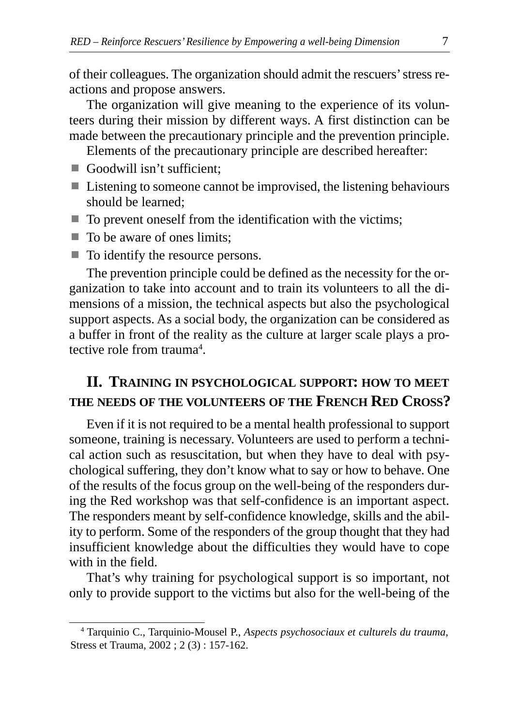of their colleagues. The organization should admit the rescuers' stress reactions and propose answers.

The organization will give meaning to the experience of its volunteers during their mission by different ways. A first distinction can be made between the precautionary principle and the prevention principle.

Elements of the precautionary principle are described hereafter:

- Goodwill isn't sufficient;
- Listening to someone cannot be improvised, the listening behaviours should be learned;
- $\blacksquare$  To prevent oneself from the identification with the victims;
- $\blacksquare$  To be aware of ones limits;
- $\blacksquare$  To identify the resource persons.

The prevention principle could be defined as the necessity for the organization to take into account and to train its volunteers to all the dimensions of a mission, the technical aspects but also the psychological support aspects. As a social body, the organization can be considered as a buffer in front of the reality as the culture at larger scale plays a protective role from trauma<sup>4</sup>.

# **II. TRAINING IN PSYCHOLOGICAL SUPPORT: HOW TO MEET THE NEEDS OF THE VOLUNTEERS OF THE FRENCH RED CROSS?**

Even if it is not required to be a mental health professional to support someone, training is necessary. Volunteers are used to perform a technical action such as resuscitation, but when they have to deal with psychological suffering, they don't know what to say or how to behave. One of the results of the focus group on the well-being of the responders during the Red workshop was that self-confidence is an important aspect. The responders meant by self-confidence knowledge, skills and the ability to perform. Some of the responders of the group thought that they had insufficient knowledge about the difficulties they would have to cope with in the field.

That's why training for psychological support is so important, not only to provide support to the victims but also for the well-being of the

<sup>4</sup> Tarquinio C., Tarquinio-Mousel P., *Aspects psychosociaux et culturels du trauma*, Stress et Trauma, 2002 ; 2 (3) : 157-162.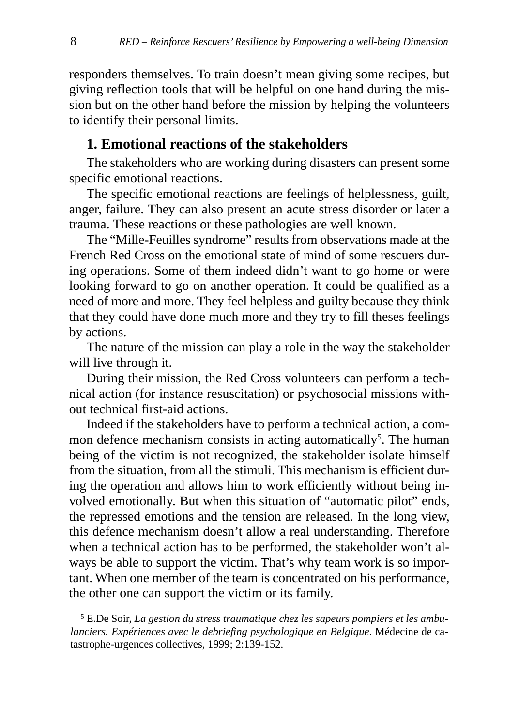responders themselves. To train doesn't mean giving some recipes, but giving reflection tools that will be helpful on one hand during the mission but on the other hand before the mission by helping the volunteers to identify their personal limits.

#### **1. Emotional reactions of the stakeholders**

The stakeholders who are working during disasters can present some specific emotional reactions.

The specific emotional reactions are feelings of helplessness, guilt, anger, failure. They can also present an acute stress disorder or later a trauma. These reactions or these pathologies are well known.

The "Mille-Feuilles syndrome" results from observations made at the French Red Cross on the emotional state of mind of some rescuers during operations. Some of them indeed didn't want to go home or were looking forward to go on another operation. It could be qualified as a need of more and more. They feel helpless and guilty because they think that they could have done much more and they try to fill theses feelings by actions.

The nature of the mission can play a role in the way the stakeholder will live through it.

During their mission, the Red Cross volunteers can perform a technical action (for instance resuscitation) or psychosocial missions without technical first-aid actions.

Indeed if the stakeholders have to perform a technical action, a common defence mechanism consists in acting automatically<sup>5</sup>. The human being of the victim is not recognized, the stakeholder isolate himself from the situation, from all the stimuli. This mechanism is efficient during the operation and allows him to work efficiently without being involved emotionally. But when this situation of "automatic pilot" ends, the repressed emotions and the tension are released. In the long view, this defence mechanism doesn't allow a real understanding. Therefore when a technical action has to be performed, the stakeholder won't always be able to support the victim. That's why team work is so important. When one member of the team is concentrated on his performance, the other one can support the victim or its family.

<sup>5</sup> E.De Soir, *La gestion du stress traumatique chez les sapeurs pompiers et les ambulanciers. Expériences avec le debriefing psychologique en Belgique*. Médecine de catastrophe-urgences collectives, 1999; 2:139-152.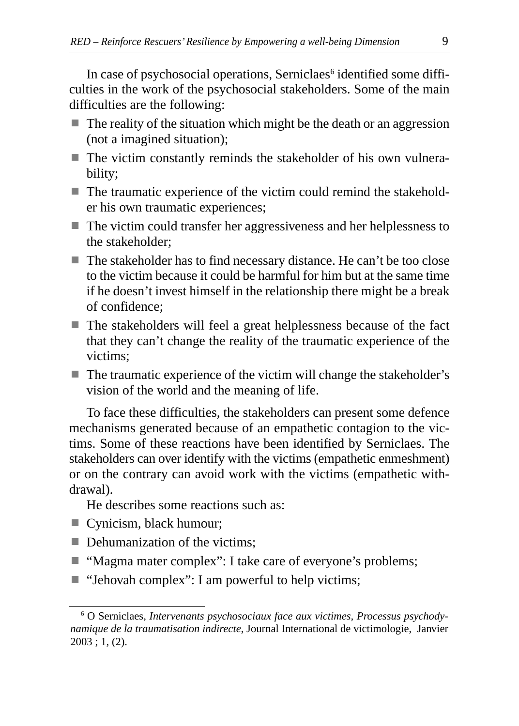In case of psychosocial operations, Serniclaes<sup>6</sup> identified some difficulties in the work of the psychosocial stakeholders. Some of the main difficulties are the following:

- The reality of the situation which might be the death or an aggression (not a imagined situation);
- $\blacksquare$  The victim constantly reminds the stakeholder of his own vulnerability;
- $\blacksquare$  The traumatic experience of the victim could remind the stakeholder his own traumatic experiences;
- The victim could transfer her aggressiveness and her helplessness to the stakeholder;
- The stakeholder has to find necessary distance. He can't be too close to the victim because it could be harmful for him but at the same time if he doesn't invest himself in the relationship there might be a break of confidence;
- $\blacksquare$  The stakeholders will feel a great helplessness because of the fact that they can't change the reality of the traumatic experience of the victims;
- The traumatic experience of the victim will change the stakeholder's vision of the world and the meaning of life.

To face these difficulties, the stakeholders can present some defence mechanisms generated because of an empathetic contagion to the victims. Some of these reactions have been identified by Serniclaes. The stakeholders can over identify with the victims (empathetic enmeshment) or on the contrary can avoid work with the victims (empathetic withdrawal).

He describes some reactions such as:

- Cynicism, black humour;
- **Dehumanization of the victims;**
- "Magma mater complex": I take care of everyone's problems;
- "Jehovah complex": I am powerful to help victims;

<sup>6</sup> O Serniclaes, *Intervenants psychosociaux face aux victimes, Processus psychodynamique de la traumatisation indirecte*, Journal International de victimologie, Janvier  $2003$ ; 1, (2).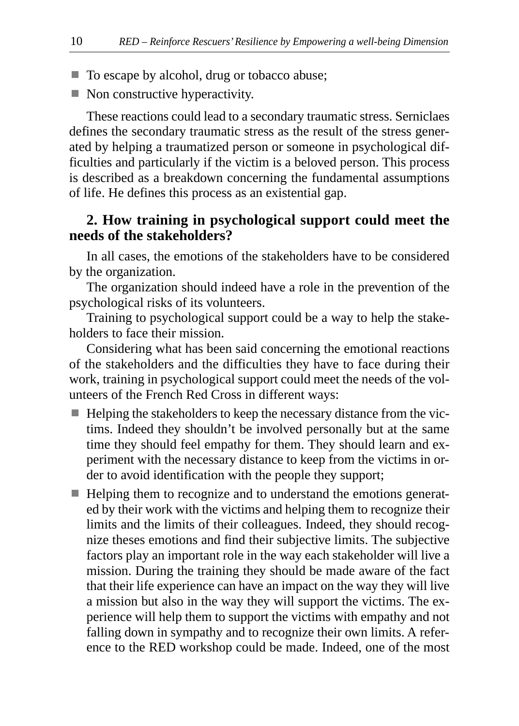- $\blacksquare$  To escape by alcohol, drug or tobacco abuse;
- $\blacksquare$  Non constructive hyperactivity.

These reactions could lead to a secondary traumatic stress. Serniclaes defines the secondary traumatic stress as the result of the stress generated by helping a traumatized person or someone in psychological difficulties and particularly if the victim is a beloved person. This process is described as a breakdown concerning the fundamental assumptions of life. He defines this process as an existential gap.

### **2. How training in psychological support could meet the needs of the stakeholders?**

In all cases, the emotions of the stakeholders have to be considered by the organization.

The organization should indeed have a role in the prevention of the psychological risks of its volunteers.

Training to psychological support could be a way to help the stakeholders to face their mission.

Considering what has been said concerning the emotional reactions of the stakeholders and the difficulties they have to face during their work, training in psychological support could meet the needs of the volunteers of the French Red Cross in different ways:

- Helping the stakeholders to keep the necessary distance from the victims. Indeed they shouldn't be involved personally but at the same time they should feel empathy for them. They should learn and experiment with the necessary distance to keep from the victims in order to avoid identification with the people they support;
- Helping them to recognize and to understand the emotions generated by their work with the victims and helping them to recognize their limits and the limits of their colleagues. Indeed, they should recognize theses emotions and find their subjective limits. The subjective factors play an important role in the way each stakeholder will live a mission. During the training they should be made aware of the fact that their life experience can have an impact on the way they will live a mission but also in the way they will support the victims. The experience will help them to support the victims with empathy and not falling down in sympathy and to recognize their own limits. A reference to the RED workshop could be made. Indeed, one of the most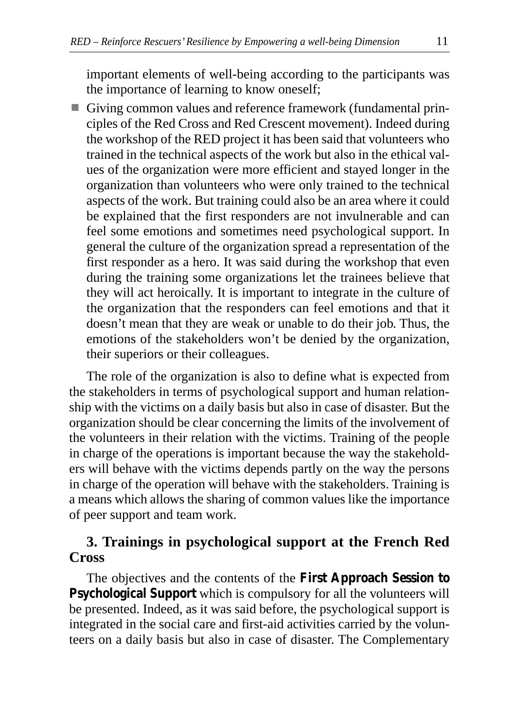important elements of well-being according to the participants was the importance of learning to know oneself;

- Giving common values and reference framework (fundamental principles of the Red Cross and Red Crescent movement). Indeed during the workshop of the RED project it has been said that volunteers who trained in the technical aspects of the work but also in the ethical values of the organization were more efficient and stayed longer in the organization than volunteers who were only trained to the technical aspects of the work. But training could also be an area where it could be explained that the first responders are not invulnerable and can feel some emotions and sometimes need psychological support. In general the culture of the organization spread a representation of the first responder as a hero. It was said during the workshop that even during the training some organizations let the trainees believe that they will act heroically. It is important to integrate in the culture of the organization that the responders can feel emotions and that it doesn't mean that they are weak or unable to do their job. Thus, the emotions of the stakeholders won't be denied by the organization, their superiors or their colleagues.

The role of the organization is also to define what is expected from the stakeholders in terms of psychological support and human relationship with the victims on a daily basis but also in case of disaster. But the organization should be clear concerning the limits of the involvement of the volunteers in their relation with the victims. Training of the people in charge of the operations is important because the way the stakeholders will behave with the victims depends partly on the way the persons in charge of the operation will behave with the stakeholders. Training is a means which allows the sharing of common values like the importance of peer support and team work.

## **3. Trainings in psychological support at the French Red Cross**

The objectives and the contents of the **First Approach Session to Psychological Support** which is compulsory for all the volunteers will be presented. Indeed, as it was said before, the psychological support is integrated in the social care and first-aid activities carried by the volunteers on a daily basis but also in case of disaster. The Complementary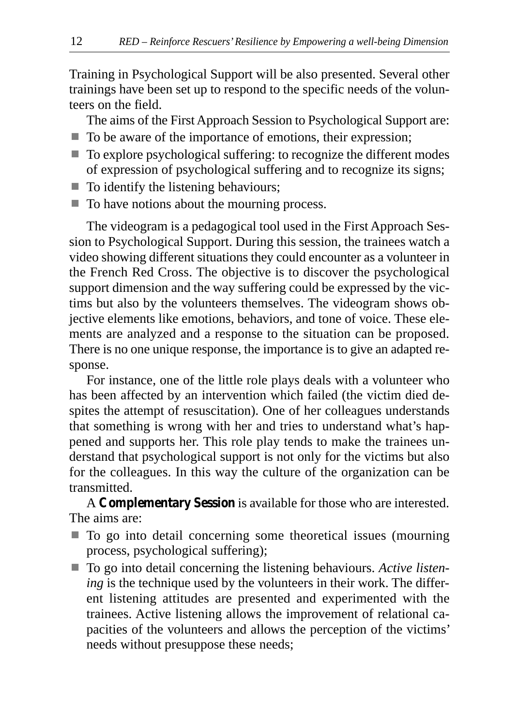Training in Psychological Support will be also presented. Several other trainings have been set up to respond to the specific needs of the volunteers on the field.

The aims of the First Approach Session to Psychological Support are:

- $\blacksquare$  To be aware of the importance of emotions, their expression;
- $\blacksquare$  To explore psychological suffering: to recognize the different modes of expression of psychological suffering and to recognize its signs;
- $\blacksquare$  To identify the listening behaviours;
- $\blacksquare$  To have notions about the mourning process.

The videogram is a pedagogical tool used in the First Approach Session to Psychological Support. During this session, the trainees watch a video showing different situations they could encounter as a volunteer in the French Red Cross. The objective is to discover the psychological support dimension and the way suffering could be expressed by the victims but also by the volunteers themselves. The videogram shows objective elements like emotions, behaviors, and tone of voice. These elements are analyzed and a response to the situation can be proposed. There is no one unique response, the importance is to give an adapted response.

For instance, one of the little role plays deals with a volunteer who has been affected by an intervention which failed (the victim died despites the attempt of resuscitation). One of her colleagues understands that something is wrong with her and tries to understand what's happened and supports her. This role play tends to make the trainees understand that psychological support is not only for the victims but also for the colleagues. In this way the culture of the organization can be transmitted.

A **Complementary Session** is available for those who are interested. The aims are:

- $\blacksquare$  To go into detail concerning some theoretical issues (mourning process, psychological suffering);
- To go into detail concerning the listening behaviours. *Active listening* is the technique used by the volunteers in their work. The different listening attitudes are presented and experimented with the trainees. Active listening allows the improvement of relational capacities of the volunteers and allows the perception of the victims' needs without presuppose these needs;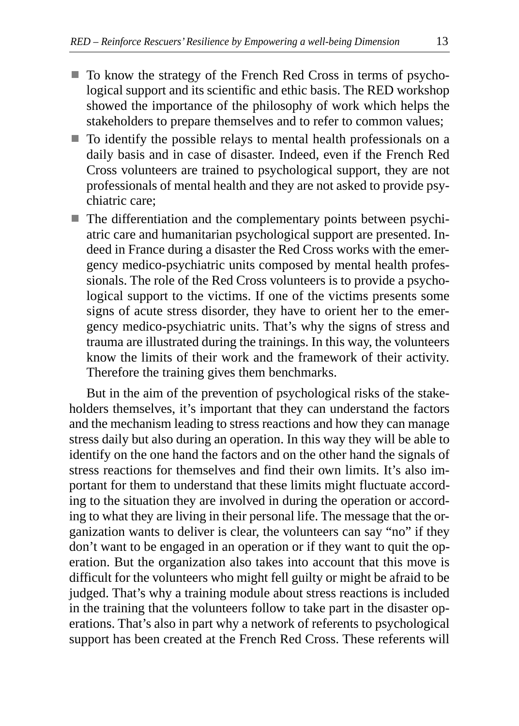- $\blacksquare$  To know the strategy of the French Red Cross in terms of psychological support and its scientific and ethic basis. The RED workshop showed the importance of the philosophy of work which helps the stakeholders to prepare themselves and to refer to common values;
- $\blacksquare$  To identify the possible relays to mental health professionals on a daily basis and in case of disaster. Indeed, even if the French Red Cross volunteers are trained to psychological support, they are not professionals of mental health and they are not asked to provide psychiatric care;
- $\blacksquare$  The differentiation and the complementary points between psychiatric care and humanitarian psychological support are presented. Indeed in France during a disaster the Red Cross works with the emergency medico-psychiatric units composed by mental health professionals. The role of the Red Cross volunteers is to provide a psychological support to the victims. If one of the victims presents some signs of acute stress disorder, they have to orient her to the emergency medico-psychiatric units. That's why the signs of stress and trauma are illustrated during the trainings. In this way, the volunteers know the limits of their work and the framework of their activity. Therefore the training gives them benchmarks.

But in the aim of the prevention of psychological risks of the stakeholders themselves, it's important that they can understand the factors and the mechanism leading to stress reactions and how they can manage stress daily but also during an operation. In this way they will be able to identify on the one hand the factors and on the other hand the signals of stress reactions for themselves and find their own limits. It's also important for them to understand that these limits might fluctuate according to the situation they are involved in during the operation or according to what they are living in their personal life. The message that the organization wants to deliver is clear, the volunteers can say "no" if they don't want to be engaged in an operation or if they want to quit the operation. But the organization also takes into account that this move is difficult for the volunteers who might fell guilty or might be afraid to be judged. That's why a training module about stress reactions is included in the training that the volunteers follow to take part in the disaster operations. That's also in part why a network of referents to psychological support has been created at the French Red Cross. These referents will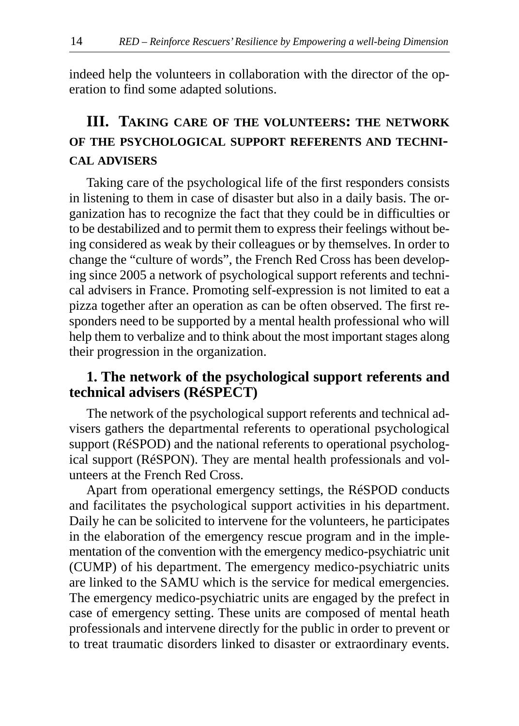indeed help the volunteers in collaboration with the director of the operation to find some adapted solutions.

# **III. TAKING CARE OF THE VOLUNTEERS: THE NETWORK OF THE PSYCHOLOGICAL SUPPORT REFERENTS AND TECHNI-CAL ADVISERS**

Taking care of the psychological life of the first responders consists in listening to them in case of disaster but also in a daily basis. The organization has to recognize the fact that they could be in difficulties or to be destabilized and to permit them to express their feelings without being considered as weak by their colleagues or by themselves. In order to change the "culture of words", the French Red Cross has been developing since 2005 a network of psychological support referents and technical advisers in France. Promoting self-expression is not limited to eat a pizza together after an operation as can be often observed. The first responders need to be supported by a mental health professional who will help them to verbalize and to think about the most important stages along their progression in the organization.

## **1. The network of the psychological support referents and technical advisers (RéSPECT)**

The network of the psychological support referents and technical advisers gathers the departmental referents to operational psychological support (RéSPOD) and the national referents to operational psychological support (RéSPON). They are mental health professionals and volunteers at the French Red Cross.

Apart from operational emergency settings, the RéSPOD conducts and facilitates the psychological support activities in his department. Daily he can be solicited to intervene for the volunteers, he participates in the elaboration of the emergency rescue program and in the implementation of the convention with the emergency medico-psychiatric unit (CUMP) of his department. The emergency medico-psychiatric units are linked to the SAMU which is the service for medical emergencies. The emergency medico-psychiatric units are engaged by the prefect in case of emergency setting. These units are composed of mental heath professionals and intervene directly for the public in order to prevent or to treat traumatic disorders linked to disaster or extraordinary events.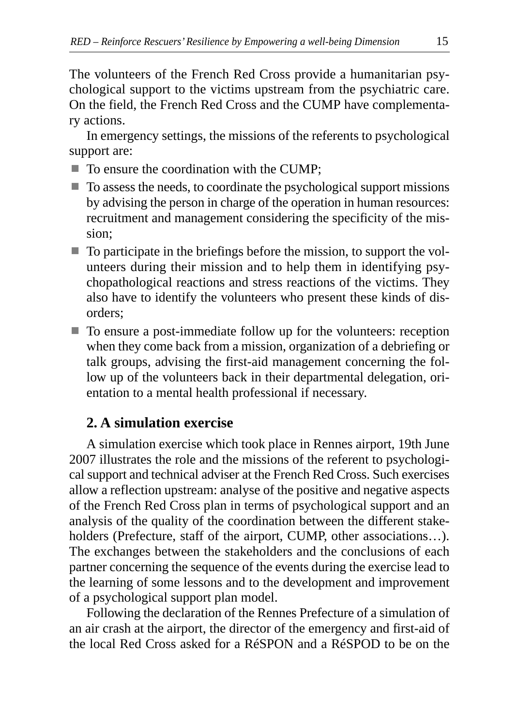The volunteers of the French Red Cross provide a humanitarian psychological support to the victims upstream from the psychiatric care. On the field, the French Red Cross and the CUMP have complementary actions.

In emergency settings, the missions of the referents to psychological support are:

- $\blacksquare$  To ensure the coordination with the CUMP;
- $\blacksquare$  To assess the needs, to coordinate the psychological support missions by advising the person in charge of the operation in human resources: recruitment and management considering the specificity of the mission;
- $\blacksquare$  To participate in the briefings before the mission, to support the volunteers during their mission and to help them in identifying psychopathological reactions and stress reactions of the victims. They also have to identify the volunteers who present these kinds of disorders;
- To ensure a post-immediate follow up for the volunteers: reception when they come back from a mission, organization of a debriefing or talk groups, advising the first-aid management concerning the follow up of the volunteers back in their departmental delegation, orientation to a mental health professional if necessary.

#### **2. A simulation exercise**

A simulation exercise which took place in Rennes airport, 19th June 2007 illustrates the role and the missions of the referent to psychological support and technical adviser at the French Red Cross. Such exercises allow a reflection upstream: analyse of the positive and negative aspects of the French Red Cross plan in terms of psychological support and an analysis of the quality of the coordination between the different stakeholders (Prefecture, staff of the airport, CUMP, other associations...). The exchanges between the stakeholders and the conclusions of each partner concerning the sequence of the events during the exercise lead to the learning of some lessons and to the development and improvement of a psychological support plan model.

Following the declaration of the Rennes Prefecture of a simulation of an air crash at the airport, the director of the emergency and first-aid of the local Red Cross asked for a RéSPON and a RéSPOD to be on the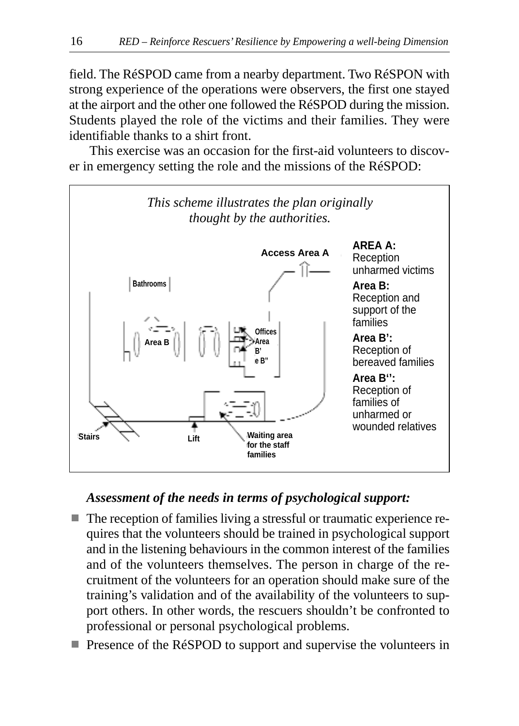field. The RéSPOD came from a nearby department. Two RéSPON with strong experience of the operations were observers, the first one stayed at the airport and the other one followed the RéSPOD during the mission. Students played the role of the victims and their families. They were identifiable thanks to a shirt front.

This exercise was an occasion for the first-aid volunteers to discover in emergency setting the role and the missions of the RéSPOD:



## *Assessment of the needs in terms of psychological support:*

- The reception of families living a stressful or traumatic experience requires that the volunteers should be trained in psychological support and in the listening behaviours in the common interest of the families and of the volunteers themselves. The person in charge of the recruitment of the volunteers for an operation should make sure of the training's validation and of the availability of the volunteers to support others. In other words, the rescuers shouldn't be confronted to professional or personal psychological problems.
- **Presence of the RéSPOD to support and supervise the volunteers in**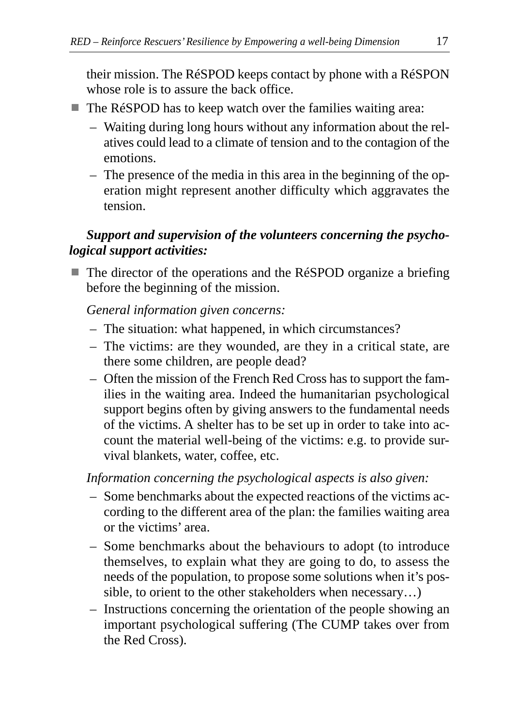their mission. The RéSPOD keeps contact by phone with a RéSPON whose role is to assure the back office.

- The RéSPOD has to keep watch over the families waiting area:
	- Waiting during long hours without any information about the relatives could lead to a climate of tension and to the contagion of the emotions.
	- The presence of the media in this area in the beginning of the operation might represent another difficulty which aggravates the tension.

## *Support and supervision of the volunteers concerning the psychological support activities:*

 $\blacksquare$  The director of the operations and the RéSPOD organize a briefing before the beginning of the mission.

*General information given concerns:*

- The situation: what happened, in which circumstances?
- The victims: are they wounded, are they in a critical state, are there some children, are people dead?
- Often the mission of the French Red Cross has to support the families in the waiting area. Indeed the humanitarian psychological support begins often by giving answers to the fundamental needs of the victims. A shelter has to be set up in order to take into account the material well-being of the victims: e.g. to provide survival blankets, water, coffee, etc.

*Information concerning the psychological aspects is also given:*

- Some benchmarks about the expected reactions of the victims according to the different area of the plan: the families waiting area or the victims' area.
- Some benchmarks about the behaviours to adopt (to introduce themselves, to explain what they are going to do, to assess the needs of the population, to propose some solutions when it's possible, to orient to the other stakeholders when necessary…)
- Instructions concerning the orientation of the people showing an important psychological suffering (The CUMP takes over from the Red Cross).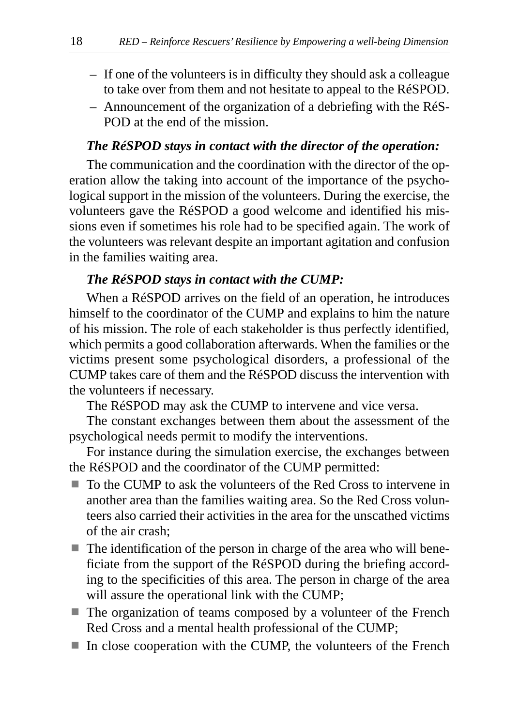- If one of the volunteers is in difficulty they should ask a colleague to take over from them and not hesitate to appeal to the RéSPOD.
- Announcement of the organization of a debriefing with the RéS-POD at the end of the mission.

#### *The RéSPOD stays in contact with the director of the operation:*

The communication and the coordination with the director of the operation allow the taking into account of the importance of the psychological support in the mission of the volunteers. During the exercise, the volunteers gave the RéSPOD a good welcome and identified his missions even if sometimes his role had to be specified again. The work of the volunteers was relevant despite an important agitation and confusion in the families waiting area.

#### *The RéSPOD stays in contact with the CUMP:*

When a RéSPOD arrives on the field of an operation, he introduces himself to the coordinator of the CUMP and explains to him the nature of his mission. The role of each stakeholder is thus perfectly identified, which permits a good collaboration afterwards. When the families or the victims present some psychological disorders, a professional of the CUMP takes care of them and the RéSPOD discuss the intervention with the volunteers if necessary.

The RéSPOD may ask the CUMP to intervene and vice versa.

The constant exchanges between them about the assessment of the psychological needs permit to modify the interventions.

For instance during the simulation exercise, the exchanges between the RéSPOD and the coordinator of the CUMP permitted:

- To the CUMP to ask the volunteers of the Red Cross to intervene in another area than the families waiting area. So the Red Cross volunteers also carried their activities in the area for the unscathed victims of the air crash;
- $\blacksquare$  The identification of the person in charge of the area who will beneficiate from the support of the RéSPOD during the briefing according to the specificities of this area. The person in charge of the area will assure the operational link with the CUMP;
- The organization of teams composed by a volunteer of the French Red Cross and a mental health professional of the CUMP;
- In close cooperation with the CUMP, the volunteers of the French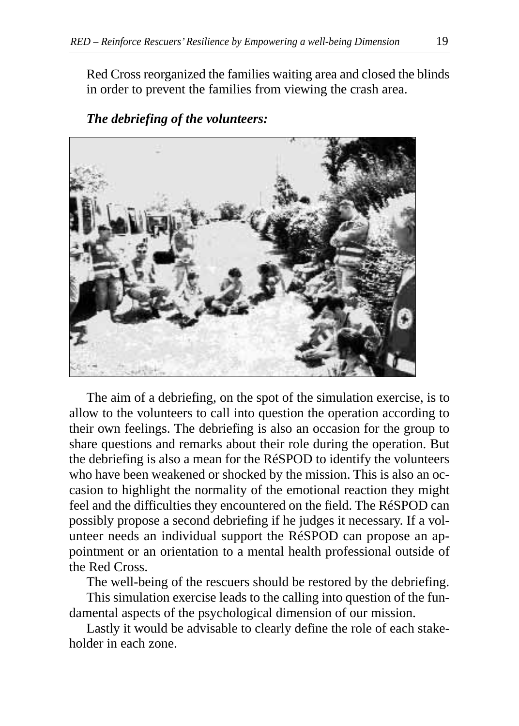Red Cross reorganized the families waiting area and closed the blinds in order to prevent the families from viewing the crash area.

#### *The debriefing of the volunteers:*



The aim of a debriefing, on the spot of the simulation exercise, is to allow to the volunteers to call into question the operation according to their own feelings. The debriefing is also an occasion for the group to share questions and remarks about their role during the operation. But the debriefing is also a mean for the RéSPOD to identify the volunteers who have been weakened or shocked by the mission. This is also an occasion to highlight the normality of the emotional reaction they might feel and the difficulties they encountered on the field. The RéSPOD can possibly propose a second debriefing if he judges it necessary. If a volunteer needs an individual support the RéSPOD can propose an appointment or an orientation to a mental health professional outside of the Red Cross.

The well-being of the rescuers should be restored by the debriefing.

This simulation exercise leads to the calling into question of the fundamental aspects of the psychological dimension of our mission.

Lastly it would be advisable to clearly define the role of each stakeholder in each zone.